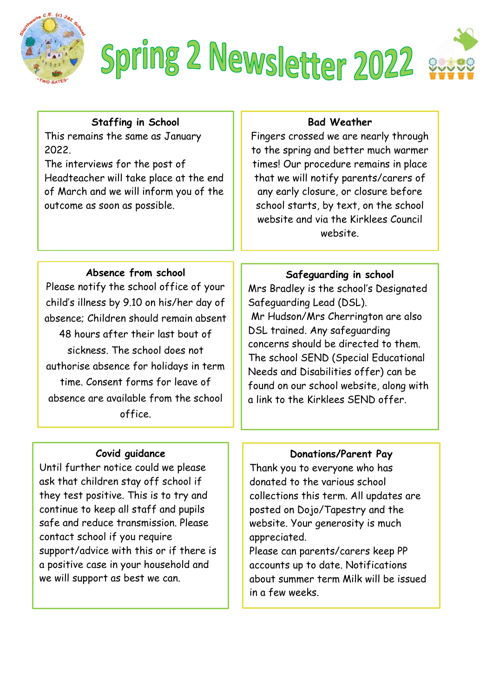

# Spring 2 Newsletter 2022

# **Staffing in School**

This remains the same as January 2022.

The interviews for the post of Headteacher will take place at the end of March and we will inform you of the outcome as soon as possible.

## **Bad Weather**

Fingers crossed we are nearly through to the spring and better much warmer times! Our procedure remains in place that we will notify parents/carers of any early closure, or closure before school starts, by text, on the school website and via the Kirklees Council website.

#### **Absence from school**

Please notify the school office of your child's illness by 9.10 on his/her day of absence; Children should remain absent 48 hours after their last bout of sickness. The school does not authorise absence for holidays in term time. Consent forms for leave of absence are available from the school office.

#### **Covid guidance**

Until further notice could we please ask that children stay off school if they test positive. This is to try and continue to keep all staff and pupils safe and reduce transmission. Please contact school if you require support/advice with this or if there is a positive case in your household and we will support as best we can.

## **Safeguarding in school**

Mrs Bradley is the school's Designated Safeguarding Lead (DSL). Mr Hudson/Mrs Cherrington are also DSL trained. Any safeguarding concerns should be directed to them. The school SEND (Special Educational Needs and Disabilities offer) can be found on our school website, along with a link to the Kirklees SEND offer.

#### **Donations/Parent Pay**

Thank you to everyone who has donated to the various school collections this term. All updates are posted on Dojo/Tapestry and the website. Your generosity is much appreciated.

Please can parents/carers keep PP accounts up to date. Notifications about summer term Milk will be issued in a few weeks.